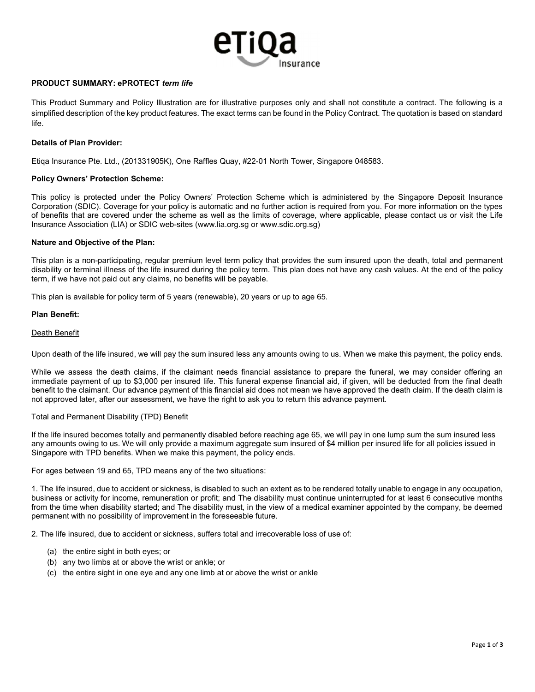

# PRODUCT SUMMARY: ePROTECT term life

This Product Summary and Policy Illustration are for illustrative purposes only and shall not constitute a contract. The following is a simplified description of the key product features. The exact terms can be found in the Policy Contract. The quotation is based on standard life.

## Details of Plan Provider:

Etiqa Insurance Pte. Ltd., (201331905K), One Raffles Quay, #22-01 North Tower, Singapore 048583.

## Policy Owners' Protection Scheme:

This policy is protected under the Policy Owners' Protection Scheme which is administered by the Singapore Deposit Insurance Corporation (SDIC). Coverage for your policy is automatic and no further action is required from you. For more information on the types of benefits that are covered under the scheme as well as the limits of coverage, where applicable, please contact us or visit the Life Insurance Association (LIA) or SDIC web-sites (www.lia.org.sg or www.sdic.org.sg)

## Nature and Objective of the Plan:

This plan is a non-participating, regular premium level term policy that provides the sum insured upon the death, total and permanent disability or terminal illness of the life insured during the policy term. This plan does not have any cash values. At the end of the policy term, if we have not paid out any claims, no benefits will be payable.

This plan is available for policy term of 5 years (renewable), 20 years or up to age 65.

## Plan Benefit:

## Death Benefit

Upon death of the life insured, we will pay the sum insured less any amounts owing to us. When we make this payment, the policy ends.

While we assess the death claims, if the claimant needs financial assistance to prepare the funeral, we may consider offering an immediate payment of up to \$3,000 per insured life. This funeral expense financial aid, if given, will be deducted from the final death benefit to the claimant. Our advance payment of this financial aid does not mean we have approved the death claim. If the death claim is not approved later, after our assessment, we have the right to ask you to return this advance payment.

## Total and Permanent Disability (TPD) Benefit

If the life insured becomes totally and permanently disabled before reaching age 65, we will pay in one lump sum the sum insured less any amounts owing to us. We will only provide a maximum aggregate sum insured of \$4 million per insured life for all policies issued in Singapore with TPD benefits. When we make this payment, the policy ends.

For ages between 19 and 65, TPD means any of the two situations:

1. The life insured, due to accident or sickness, is disabled to such an extent as to be rendered totally unable to engage in any occupation, business or activity for income, remuneration or profit; and The disability must continue uninterrupted for at least 6 consecutive months from the time when disability started; and The disability must, in the view of a medical examiner appointed by the company, be deemed permanent with no possibility of improvement in the foreseeable future.

2. The life insured, due to accident or sickness, suffers total and irrecoverable loss of use of:

- (a) the entire sight in both eyes; or
- (b) any two limbs at or above the wrist or ankle; or
- (c) the entire sight in one eye and any one limb at or above the wrist or ankle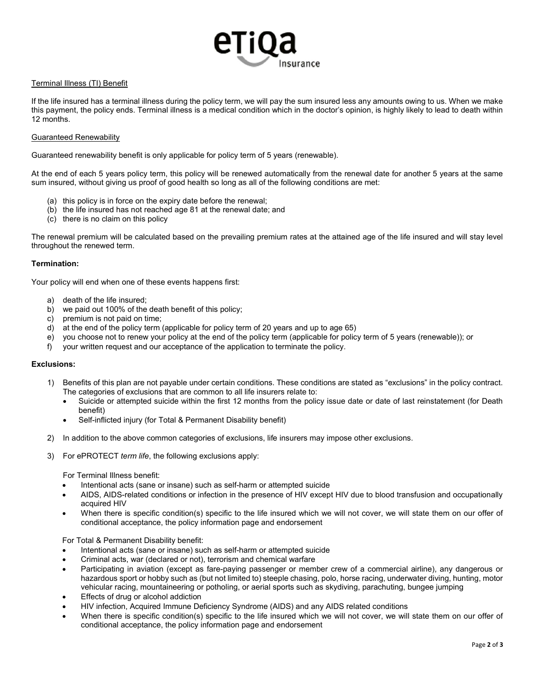# nsurance

# Terminal Illness (TI) Benefit

If the life insured has a terminal illness during the policy term, we will pay the sum insured less any amounts owing to us. When we make this payment, the policy ends. Terminal illness is a medical condition which in the doctor's opinion, is highly likely to lead to death within 12 months.

## Guaranteed Renewability

Guaranteed renewability benefit is only applicable for policy term of 5 years (renewable).

At the end of each 5 years policy term, this policy will be renewed automatically from the renewal date for another 5 years at the same sum insured, without giving us proof of good health so long as all of the following conditions are met:

- (a) this policy is in force on the expiry date before the renewal;
- (b) the life insured has not reached age 81 at the renewal date; and
- (c) there is no claim on this policy

The renewal premium will be calculated based on the prevailing premium rates at the attained age of the life insured and will stay level throughout the renewed term.

# Termination:

Your policy will end when one of these events happens first:

- a) death of the life insured;
- b) we paid out 100% of the death benefit of this policy;
- c) premium is not paid on time;
- d) at the end of the policy term (applicable for policy term of 20 years and up to age 65)
- e) you choose not to renew your policy at the end of the policy term (applicable for policy term of 5 years (renewable)); or
- f) your written request and our acceptance of the application to terminate the policy.

## Exclusions:

- 1) Benefits of this plan are not payable under certain conditions. These conditions are stated as "exclusions" in the policy contract. The categories of exclusions that are common to all life insurers relate to:
	- Suicide or attempted suicide within the first 12 months from the policy issue date or date of last reinstatement (for Death benefit)
	- Self-inflicted injury (for Total & Permanent Disability benefit)
- 2) In addition to the above common categories of exclusions, life insurers may impose other exclusions.
- 3) For ePROTECT term life, the following exclusions apply:

For Terminal Illness benefit:

- Intentional acts (sane or insane) such as self-harm or attempted suicide
- AIDS, AIDS-related conditions or infection in the presence of HIV except HIV due to blood transfusion and occupationally acquired HIV
- When there is specific condition(s) specific to the life insured which we will not cover, we will state them on our offer of conditional acceptance, the policy information page and endorsement

For Total & Permanent Disability benefit:

- Intentional acts (sane or insane) such as self-harm or attempted suicide
- Criminal acts, war (declared or not), terrorism and chemical warfare
- Participating in aviation (except as fare-paying passenger or member crew of a commercial airline), any dangerous or hazardous sport or hobby such as (but not limited to) steeple chasing, polo, horse racing, underwater diving, hunting, motor vehicular racing, mountaineering or potholing, or aerial sports such as skydiving, parachuting, bungee jumping
- Effects of drug or alcohol addiction
- HIV infection, Acquired Immune Deficiency Syndrome (AIDS) and any AIDS related conditions
- When there is specific condition(s) specific to the life insured which we will not cover, we will state them on our offer of conditional acceptance, the policy information page and endorsement